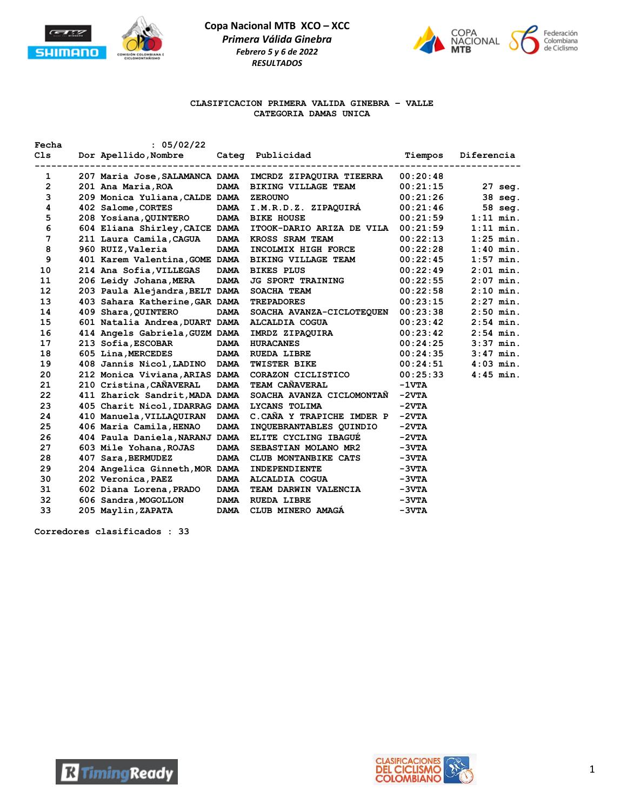



### **CLASIFICACION PRIMERA VALIDA GINEBRA – VALLE CATEGORIA DAMAS UNICA**

| Fecha          | : 05/02/22                            |             |                           |          |             |
|----------------|---------------------------------------|-------------|---------------------------|----------|-------------|
| C1s            | Dor Apellido, Nombre                  |             | Categ Publicidad          | Tiempos  | Diferencia  |
| 1              | 207 Maria Jose, SALAMANCA DAMA        |             | IMCRDZ ZIPAQUIRA TIEERRA  | 00:20:48 |             |
| $\overline{2}$ | 201 Ana Maria, ROA                    |             | DAMA BIKING VILLAGE TEAM  | 00:21:15 | $27$ seg.   |
| 3              | 209 Monica Yuliana, CALDE DAMA        |             | <b>ZEROUNO</b>            | 00:21:26 | 38 seg.     |
| 4              | 402 Salome, CORTES DAMA               |             | I.M.R.D.Z. ZIPAQUIRA      | 00:21:46 | 58 seg.     |
| 5              | 208 Yosiana, QUINTERO DAMA BIKE HOUSE |             |                           | 00:21:59 | $1:11$ min. |
| 6              | 604 Eliana Shirley, CAICE DAMA        |             | ITOOK-DARIO ARIZA DE VILA | 00:21:59 | $1:11$ min. |
| 7              | 211 Laura Camila, CAGUA DAMA          |             | KROSS SRAM TEAM           | 00:22:13 | $1:25$ min. |
| 8              | 960 RUIZ, Valeria                     | <b>DAMA</b> | INCOLMIX HIGH FORCE       | 00:22:28 | $1:40$ min. |
| 9              | 401 Karem Valentina, GOME DAMA        |             | BIKING VILLAGE TEAM       | 00:22:45 | $1:57$ min. |
| 10             | 214 Ana Sofia, VILLEGAS DAMA          |             | <b>BIKES PLUS</b>         | 00:22:49 | $2:01$ min. |
| 11             | 206 Leidy Johana, MERA                | <b>DAMA</b> | <b>JG SPORT TRAINING</b>  | 00:22:55 | $2:07$ min. |
| 12             | 203 Paula Alejandra, BELT DAMA        |             | SOACHA TEAM               | 00:22:58 | $2:10$ min. |
| 13             | 403 Sahara Katherine, GAR DAMA        |             | <b>TREPADORES</b>         | 00:23:15 | $2:27$ min. |
| 14             | 409 Shara, QUINTERO                   | <b>DAMA</b> | SOACHA AVANZA-CICLOTEQUEN | 00:23:38 | $2:50$ min. |
| 15             | 601 Natalia Andrea, DUART DAMA        |             | ALCALDIA COGUA            | 00:23:42 | $2:54$ min. |
| 16             | 414 Angels Gabriela, GUZM DAMA        |             | IMRDZ ZIPAQUIRA           | 00:23:42 | $2:54$ min. |
| 17             | 213 Sofia, ESCOBAR                    | <b>DAMA</b> | <b>HURACANES</b>          | 00:24:25 | $3:37$ min. |
| 18             | 605 Lina, MERCEDES                    | <b>DAMA</b> | <b>RUEDA LIBRE</b>        | 00:24:35 | $3:47$ min. |
| 19             | 408 Jannis Nicol, LADINO DAMA         |             | <b>TWISTER BIKE</b>       | 00:24:51 | $4:03$ min. |
| 20             | 212 Monica Viviana, ARIAS DAMA        |             | CORAZON CICLISTICO        | 00:25:33 | $4:45$ min. |
| 21             | 210 Cristina, CAÑAVERAL               | <b>DAMA</b> | TEAM CAÑAVERAL            | $-1VTA$  |             |
| 22             | 411 Zharick Sandrit, MADA DAMA        |             | SOACHA AVANZA CICLOMONTAN | $-2VTA$  |             |
| 23             | 405 Charit Nicol, IDARRAG DAMA        |             | LYCANS TOLIMA             | $-2VTA$  |             |
| 24             | 410 Manuela, VILLAQUIRAN DAMA         |             | C.CAÑA Y TRAPICHE IMDER P | $-2VTA$  |             |
| 25             | 406 Maria Camila, HENAO               | <b>DAMA</b> | INQUEBRANTABLES QUINDIO   | $-2VTA$  |             |
| 26             | 404 Paula Daniela, NARANJ DAMA        |             | ELITE CYCLING IBAGUE      | $-2VTA$  |             |
| 27             | 603 Mile Yohana, ROJAS                | <b>DAMA</b> | SEBASTIAN MOLANO MR2      | $-3VTA$  |             |
| 28             | 407 Sara, BERMUDEZ                    | <b>DAMA</b> | CLUB MONTANBIKE CATS      | $-3VTA$  |             |
| 29             | 204 Angelica Ginneth, MOR DAMA        |             | INDEPENDIENTE             | $-3VTA$  |             |
| 30             | 202 Veronica, PAEZ                    | <b>DAMA</b> | ALCALDIA COGUA            | $-3VTA$  |             |
| 31             | 602 Diana Lorena, PRADO               | <b>DAMA</b> | TEAM DARWIN VALENCIA      | $-3VTA$  |             |
| 32             | 606 Sandra, MOGOLLON                  | <b>DAMA</b> | <b>RUEDA LIBRE</b>        | $-3VTA$  |             |
| 33             | 205 Maylin, ZAPATA                    | <b>DAMA</b> | CLUB MINERO AMAGA         | $-3VTA$  |             |



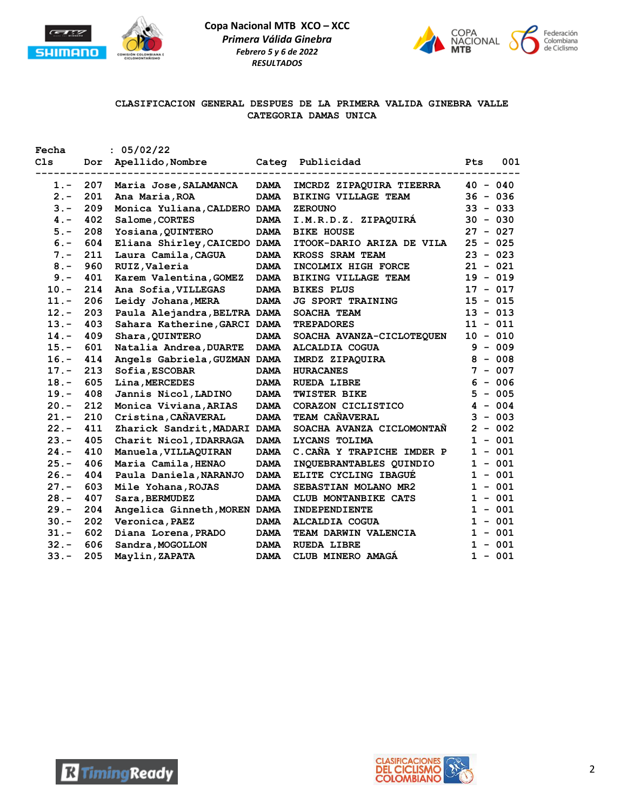



# **CLASIFICACION GENERAL DESPUES DE LA PRIMERA VALIDA GINEBRA VALLE CATEGORIA DAMAS UNICA**

| Fecha   |     | : 05/02/22                   |             |                            |              |            |
|---------|-----|------------------------------|-------------|----------------------------|--------------|------------|
| C1s     | Dor | Apellido, Nombre             | Categ       | Publicidad                 | Pts          | 001        |
| 1.-     | 207 | Maria Jose, SALAMANCA        | <b>DAMA</b> | IMCRDZ ZIPAQUIRA TIEERRA   |              | $40 - 040$ |
| $2 -$   | 201 | Ana Maria, ROA               | <b>DAMA</b> | <b>BIKING VILLAGE TEAM</b> |              | $36 - 036$ |
| $3 -$   | 209 | Monica Yuliana, CALDERO DAMA |             | <b>ZEROUNO</b>             |              | $33 - 033$ |
| $4 -$   | 402 | Salome, CORTES               | <b>DAMA</b> | I.M.R.D.Z. ZIPAQUIRA       |              | $30 - 030$ |
| $5. -$  | 208 | Yosiana, QUINTERO            | <b>DAMA</b> | <b>BIKE HOUSE</b>          |              | $27 - 027$ |
| $6. -$  | 604 | Eliana Shirley, CAICEDO DAMA |             | ITOOK-DARIO ARIZA DE VILA  |              | $25 - 025$ |
| $7. -$  | 211 | Laura Camila, CAGUA          | <b>DAMA</b> | KROSS SRAM TEAM            |              | $23 - 023$ |
| $8 -$   | 960 | RUIZ, Valeria                | <b>DAMA</b> | INCOLMIX HIGH FORCE        |              | $21 - 021$ |
| $9 -$   | 401 | Karem Valentina, GOMEZ       | <b>DAMA</b> | <b>BIKING VILLAGE TEAM</b> |              | $19 - 019$ |
| $10. -$ | 214 | Ana Sofia, VILLEGAS          | <b>DAMA</b> | <b>BIKES PLUS</b>          |              | $17 - 017$ |
| $11. -$ | 206 | Leidy Johana, MERA           | <b>DAMA</b> | <b>JG SPORT TRAINING</b>   |              | $15 - 015$ |
| $12. -$ | 203 | Paula Alejandra, BELTRA DAMA |             | SOACHA TEAM                |              | $13 - 013$ |
| $13. -$ | 403 | Sahara Katherine, GARCI DAMA |             | <b>TREPADORES</b>          | 11           | $-011$     |
| $14. -$ | 409 | Shara, QUINTERO              | <b>DAMA</b> | SOACHA AVANZA-CICLOTEQUEN  |              | $10 - 010$ |
| $15. -$ | 601 | Natalia Andrea, DUARTE       | <b>DAMA</b> | <b>ALCALDIA COGUA</b>      | 9            | $-009$     |
| $16. -$ | 414 | Angels Gabriela, GUZMAN DAMA |             | IMRDZ ZIPAQUIRA            | 8            | $-008$     |
| $17. -$ | 213 | Sofia, ESCOBAR               | <b>DAMA</b> | <b>HURACANES</b>           | 7            | $-007$     |
| $18. -$ | 605 | Lina, MERCEDES               | <b>DAMA</b> | <b>RUEDA LIBRE</b>         | 6            | $-006$     |
| $19. -$ | 408 | Jannis Nicol, LADINO         | <b>DAMA</b> | TWISTER BIKE               | 5            | $-005$     |
| $20 -$  | 212 | Monica Viviana, ARIAS        | <b>DAMA</b> | CORAZON CICLISTICO         | 4            | $-004$     |
| $21 -$  | 210 | Cristina, CAÑAVERAL          | <b>DAMA</b> | TEAM CAÑAVERAL             | 3            | $-003$     |
| $22 -$  | 411 | Zharick Sandrit, MADARI DAMA |             | SOACHA AVANZA CICLOMONTAN  |              | $2 - 002$  |
| $23 -$  | 405 | Charit Nicol, IDARRAGA       | <b>DAMA</b> | LYCANS TOLIMA              | $\mathbf{1}$ | $-001$     |
| $24. -$ | 410 | Manuela, VILLAQUIRAN         | <b>DAMA</b> | C.CAÑA Y TRAPICHE IMDER P  |              | $1 - 001$  |
| $25. -$ | 406 | Maria Camila, HENAO          | <b>DAMA</b> | INQUEBRANTABLES QUINDIO    |              | $1 - 001$  |
| $26. -$ | 404 | Paula Daniela, NARANJO       | <b>DAMA</b> | ELITE CYCLING IBAGUE       | 1            | $-001$     |
| $27. -$ | 603 | Mile Yohana, ROJAS           | <b>DAMA</b> | SEBASTIAN MOLANO MR2       |              | $1 - 001$  |
| $28. -$ | 407 | Sara, BERMUDEZ               | <b>DAMA</b> | CLUB MONTANBIKE CATS       | 1            | $-001$     |
| $29. -$ | 204 | Angelica Ginneth, MOREN DAMA |             | <b>INDEPENDIENTE</b>       | $\mathbf{1}$ | $-001$     |
| $30 -$  | 202 | Veronica, PAEZ               | <b>DAMA</b> | <b>ALCALDIA COGUA</b>      | $\mathbf 1$  | $-001$     |
| $31 -$  | 602 | Diana Lorena, PRADO          | <b>DAMA</b> | TEAM DARWIN VALENCIA       | $\mathbf{1}$ | $-001$     |
| $32 -$  | 606 | Sandra, MOGOLLON             | <b>DAMA</b> | <b>RUEDA LIBRE</b>         | $\mathbf{1}$ | $-001$     |
| $33 -$  | 205 | Maylin, ZAPATA               | <b>DAMA</b> | CLUB MINERO AMAGA          |              | $1 - 001$  |



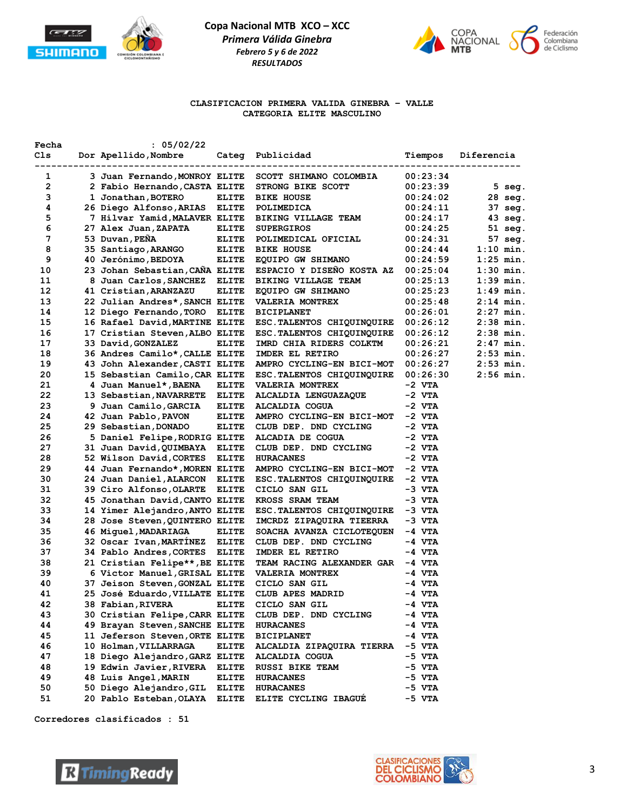



### **CLASIFICACION PRIMERA VALIDA GINEBRA – VALLE CATEGORIA ELITE MASCULINO**

| Fecha | : 05/02/22                     |                   |                                     |          |                   |
|-------|--------------------------------|-------------------|-------------------------------------|----------|-------------------|
| Cls   | Dor Apellido, Nombre           |                   | Categ Publicidad                    | Tiempos  | Diferencia        |
|       | ------------------             | ----------------- |                                     |          |                   |
| 1     | 3 Juan Fernando, MONROY ELITE  |                   | SCOTT SHIMANO COLOMBIA              | 00:23:34 |                   |
| 2     | 2 Fabio Hernando, CASTA ELITE  |                   | STRONG BIKE SCOTT                   | 00:23:39 | $5$ seg.          |
| з     | 1 Jonathan, BOTERO             | <b>ELITE</b>      | <b>BIKE HOUSE</b>                   | 00:24:02 | $28$ seq.         |
| 4     | 26 Diego Alfonso,ARIAS         | ELITE             | POLIMEDICA                          | 00:24:11 | 37 seg.           |
| 5     | 7 Hilvar Yamid, MALAVER ELITE  |                   | <b>BIKING VILLAGE TEAM</b>          | 00:24:17 | $43 \text{ seg.}$ |
| 6     | 27 Alex Juan, ZAPATA           | ELITE             | <b>SUPERGIROS</b>                   | 00:24:25 | $51$ seq.         |
| 7     | 53 Duvan, PEÑA                 | <b>ELITE</b>      | POLIMEDICAL OFICIAL                 | 00:24:31 | 57 seg.           |
| 8     | 35 Santiago, ARANGO            | ELITE             | <b>BIKE HOUSE</b>                   | 00:24:44 | $1:10$ min.       |
| 9     | 40 Jerónimo, BEDOYA            | ELITE             | EQUIPO GW SHIMANO                   | 00:24:59 | $1:25$ min.       |
| 10    | 23 Johan Sebastian, CANA ELITE |                   | ESPACIO Y DISENO KOSTA AZ           | 00:25:04 | $1:30$ min.       |
| 11    | 8 Juan Carlos, SANCHEZ         | ELITE             | BIKING VILLAGE TEAM                 | 00:25:13 | $1:39$ min.       |
| 12    | 41 Cristian, ARANZAZU          | <b>ELITE</b>      | EQUIPO GW SHIMANO                   | 00:25:23 | $1:49$ min.       |
| 13    | 22 Julian Andres*, SANCH ELITE |                   | <b>VALERIA MONTREX</b>              | 00:25:48 | 2:14 min.         |
| 14    | 12 Diego Fernando,TORO         | ELITE             | <b>BICIPLANET</b>                   | 00:26:01 | $2:27$ min.       |
| 15    | 16 Rafael David, MARTINE ELITE |                   | ESC.TALENTOS CHIQUINQUIRE           | 00:26:12 | $2:38$ min.       |
| 16    | 17 Cristian Steven, ALBO ELITE |                   | ESC. TALENTOS CHIQUINQUIRE          | 00:26:12 | $2:38$ min.       |
| 17    | 33 David, GONZALEZ             | ELITE             | IMRD CHIA RIDERS COLKTM             | 00:26:21 | $2:47$ min.       |
| 18    | 36 Andres Camilo*, CALLE ELITE |                   | IMDER EL RETIRO                     | 00:26:27 | $2:53$ min.       |
| 19    | 43 John Alexander, CASTI ELITE |                   | AMPRO CYCLING-EN BICI-MOT 00:26:27  |          | $2:53$ min.       |
| 20    | 15 Sebastian Camilo, CAR ELITE |                   | ESC. TALENTOS CHIQUINQUIRE 00:26:30 |          | $2:56$ min.       |
| 21    | 4 Juan Manuel*,BAENA           | <b>ELITE</b>      | <b>VALERIA MONTREX</b>              | $-2$ VTA |                   |
| 22    | 13 Sebastian, NAVARRETE ELITE  |                   | ALCALDIA LENGUAZAQUE                | -2 VTA   |                   |
| 23    | 9 Juan Camilo, GARCIA          | ELITE             | ALCALDIA COGUA                      | $-2$ VTA |                   |
| 24    | 42 Juan Pablo,PAVON            | <b>ELITE</b>      | AMPRO CYCLING-EN BICI-MOT -2 VTA    |          |                   |
| 25    | 29 Sebastian,DONADO            | <b>ELITE</b>      | CLUB DEP. DND CYCLING               | -2 VTA   |                   |
| 26    | 5 Daniel Felipe, RODRIG ELITE  |                   | ALCADIA DE COGUA                    | -2 VTA   |                   |
| 27    | 31 Juan David, QUIMBAYA ELITE  |                   | CLUB DEP. DND CYCLING               | $-2$ VTA |                   |
| 28    | 52 Wilson David, CORTES        | ELITE             | <b>HURACANES</b>                    | $-2$ VTA |                   |
| 29    | 44 Juan Fernando*, MOREN ELITE |                   | AMPRO CYCLING-EN BICI-MOT -2 VTA    |          |                   |
| 30    | 24 Juan Daniel, ALARCON ELITE  |                   | ESC. TALENTOS CHIQUINQUIRE -2 VTA   |          |                   |
| 31    | 39 Ciro Alfonso, OLARTE        | <b>ELITE</b>      | CICLO SAN GIL                       | -3 VTA   |                   |
| 32    | 45 Jonathan David, CANTO ELITE |                   | KROSS SRAM TEAM                     | -3 VTA   |                   |
| 33    | 14 Yimer Alejandro, ANTO ELITE |                   | ESC. TALENTOS CHIQUINQUIRE -3 VTA   |          |                   |
| 34    | 28 Jose Steven, QUINTERO ELITE |                   |                                     | -3 VTA   |                   |
|       |                                |                   | IMCRDZ ZIPAQUIRA TIEERRA            |          |                   |
| 35    | 46 Miguel, MADARIAGA           | <b>ELITE</b>      | SOACHA AVANZA CICLOTEQUEN           | -4 VTA   |                   |
| 36    | 32 Oscar Ivan, MARTINEZ ELITE  |                   | CLUB DEP. DND CYCLING               | -4 VTA   |                   |
| 37    | 34 Pablo Andres, CORTES ELITE  |                   | IMDER EL RETIRO                     | -4 VTA   |                   |
| 38    | 21 Cristian Felipe**, BE ELITE |                   | TEAM RACING ALEXANDER GAR -4 VTA    |          |                   |
| 39    | 6 Victor Manuel, GRISAL ELITE  |                   | <b>VALERIA MONTREX</b>              | -4 VTA   |                   |
| 40    | 37 Jeison Steven, GONZAL ELITE |                   | CICLO SAN GIL                       | -4 VTA   |                   |
| 41    | 25 José Eduardo, VILLATE ELITE |                   | CLUB APES MADRID                    | -4 VTA   |                   |
| 42    | 38 Fabian, RIVERA              | <b>ELITE</b>      | CICLO SAN GIL                       | -4 VTA   |                   |
| 43    | 30 Cristian Felipe, CARR ELITE |                   | CLUB DEP. DND CYCLING               | -4 VTA   |                   |
| 44    | 49 Brayan Steven, SANCHE ELITE |                   | <b>HURACANES</b>                    | -4 VTA   |                   |
| 45    | 11 Jeferson Steven, ORTE ELITE |                   | <b>BICIPLANET</b>                   | -4 VTA   |                   |
| 46    | 10 Holman, VILLARRAGA          | ELITE             | ALCALDIA ZIPAQUIRA TIERRA           | -5 VTA   |                   |
| 47    | 18 Diego Alejandro, GARZ ELITE |                   | ALCALDIA COGUA                      | -5 VTA   |                   |
| 48    | 19 Edwin Javier, RIVERA        | <b>ELITE</b>      | RUSSI BIKE TEAM                     | -5 VTA   |                   |
| 49    | 48 Luis Angel, MARIN           | <b>ELITE</b>      | <b>HURACANES</b>                    | -5 VTA   |                   |
| 50    | 50 Diego Alejandro, GIL        | ELITE             | <b>HURACANES</b>                    | -5 VTA   |                   |
| 51    | 20 Pablo Esteban, OLAYA        | <b>ELITE</b>      | ELITE CYCLING IBAGUE                | -5 VTA   |                   |



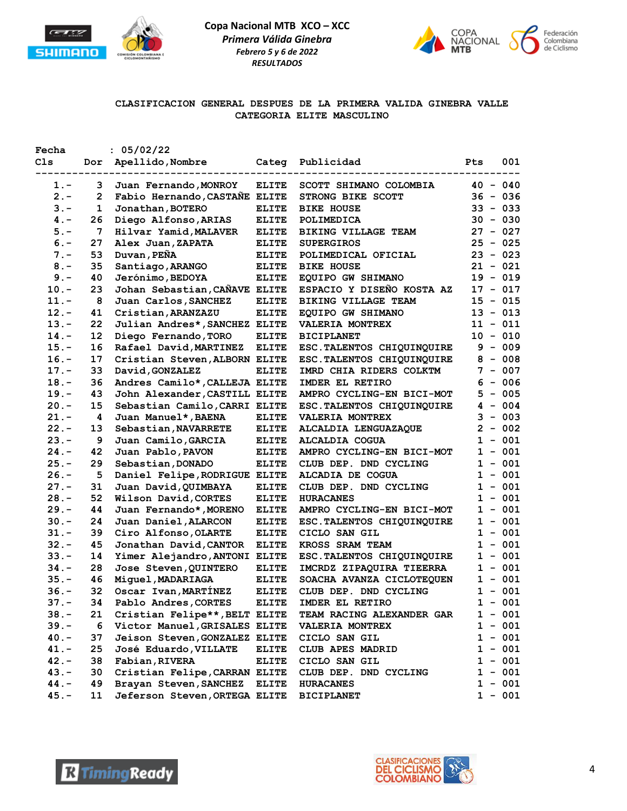



## **CLASIFICACION GENERAL DESPUES DE LA PRIMERA VALIDA GINEBRA VALLE CATEGORIA ELITE MASCULINO**

| Fecha   |     | : 05/02/22                    |              |                             |            |            |
|---------|-----|-------------------------------|--------------|-----------------------------|------------|------------|
| C1s     | Dor | Apellido,Nombre               | Categ        | Publicidad                  | Pts        | 001        |
| 1.-     | 3   | Juan Fernando, MONROY         | <b>ELITE</b> | SCOTT SHIMANO COLOMBIA      | $40 - 040$ |            |
| $2 -$   | 2   | Fabio Hernando, CASTAÑE ELITE |              | STRONG BIKE SCOTT           |            | $36 - 036$ |
| $3 -$   | 1   | Jonathan, BOTERO              | <b>ELITE</b> | <b>BIKE HOUSE</b>           |            | $33 - 033$ |
| $4 -$   | 26  | Diego Alfonso, ARIAS          | ELITE        | POLIMEDICA                  |            | $30 - 030$ |
| $5. -$  | 7   | Hilvar Yamid, MALAVER         | ELITE        | <b>BIKING VILLAGE TEAM</b>  | $27 - 027$ |            |
| $6. -$  | 27  | Alex Juan, ZAPATA             | <b>ELITE</b> | <b>SUPERGIROS</b>           | $25 - 025$ |            |
| $7 -$   | 53  | Duvan, PEÑA                   | <b>ELITE</b> | POLIMEDICAL OFICIAL         | $23 - 023$ |            |
| $8 -$   | 35  | Santiago, ARANGO              | ELITE        | <b>BIKE HOUSE</b>           | $21 - 021$ |            |
| $9 -$   | 40  | Jerónimo, BEDOYA              | ELITE        | EQUIPO GW SHIMANO           | $19 - 019$ |            |
| $10. -$ | 23  | Johan Sebastian, CAÑAVE ELITE |              | ESPACIO Y DISEÑO KOSTA AZ   | $17 - 017$ |            |
| $11. -$ | 8   | Juan Carlos, SANCHEZ          | <b>ELITE</b> | <b>BIKING VILLAGE TEAM</b>  | $15 - 015$ |            |
| $12. -$ | 41  | Cristian, ARANZAZU            | <b>ELITE</b> | EQUIPO GW SHIMANO           | $13 - 013$ |            |
| $13. -$ | 22  | Julian Andres*, SANCHEZ ELITE |              | <b>VALERIA MONTREX</b>      |            | $11 - 011$ |
| $14. -$ | 12  | Diego Fernando, TORO          | <b>ELITE</b> | <b>BICIPLANET</b>           | $10 - 010$ |            |
| $15. -$ | 16  | Rafael David, MARTINEZ        | ELITE        | ESC. TALENTOS CHIQUINQUIRE  |            | $9 - 009$  |
| $16. -$ | 17  | Cristian Steven, ALBORN ELITE |              | ESC. TALENTOS CHIQUINQUIRE  |            | $8 - 008$  |
| $17. -$ | 33  | David, GONZALEZ               | <b>ELITE</b> | IMRD CHIA RIDERS COLKTM     |            | $7 - 007$  |
| $18. -$ | 36  | Andres Camilo*, CALLEJA ELITE |              | IMDER EL RETIRO             |            | $6 - 006$  |
| $19. -$ | 43  | John Alexander, CASTILL ELITE |              | AMPRO CYCLING-EN BICI-MOT   |            | $5 - 005$  |
| $20. -$ | 15  | Sebastian Camilo, CARRI ELITE |              | ESC. TALENTOS CHIQUINQUIRE  |            | $4 - 004$  |
| $21. -$ | 4   | Juan Manuel*, BAENA           | <b>ELITE</b> | VALERIA MONTREX             |            | $3 - 003$  |
| $22 -$  | 13  | Sebastian, NAVARRETE          | ELITE        | <b>ALCALDIA LENGUAZAQUE</b> |            | $2 - 002$  |
| $23 -$  | 9   | Juan Camilo, GARCIA           | <b>ELITE</b> | <b>ALCALDIA COGUA</b>       |            | $1 - 001$  |
| $24. -$ | 42  | Juan Pablo, PAVON             | ELITE        | AMPRO CYCLING-EN BICI-MOT   | 1          | $-001$     |
| $25. -$ | 29  | Sebastian, DONADO             | ELITE        | CLUB DEP. DND CYCLING       | 1          | $-001$     |
| $26. -$ | 5   | Daniel Felipe, RODRIGUE ELITE |              | ALCADIA DE COGUA            |            | $1 - 001$  |
| $27. -$ | 31  | Juan David, QUIMBAYA          | ELITE        | CLUB DEP. DND CYCLING       |            | $1 - 001$  |
| $28. -$ | 52  | Wilson David, CORTES          | ELITE        | <b>HURACANES</b>            |            | $1 - 001$  |
| $29. -$ | 44  | Juan Fernando*, MORENO        | ELITE        | AMPRO CYCLING-EN BICI-MOT   |            | $1 - 001$  |
| $30 -$  | 24  | Juan Daniel, ALARCON          | <b>ELITE</b> | ESC. TALENTOS CHIQUINQUIRE  |            | $1 - 001$  |
| $31 -$  | 39  | Ciro Alfonso, OLARTE          | <b>ELITE</b> | CICLO SAN GIL               |            | $1 - 001$  |
| $32 -$  | 45  | Jonathan David, CANTOR        | ELITE        | KROSS SRAM TEAM             |            | $1 - 001$  |
| $33 -$  | 14  | Yimer Alejandro, ANTONI ELITE |              | ESC. TALENTOS CHIQUINQUIRE  |            | $1 - 001$  |
| $34. -$ | 28  | Jose Steven, QUINTERO         | ELITE        | IMCRDZ ZIPAQUIRA TIEERRA    |            | $1 - 001$  |
| $35. -$ | 46  | Miquel, MADARIAGA             | <b>ELITE</b> | SOACHA AVANZA CICLOTEQUEN   |            | $1 - 001$  |
| $36. -$ | 32  | Oscar Ivan, MARTINEZ          | <b>ELITE</b> | CLUB DEP. DND CYCLING       |            | $1 - 001$  |
| 37.     | 34  | Pablo Andres, CORTES ELITE    |              | IMDER EL RETIRO             |            | $1 - 001$  |
| $38. -$ | 21  | Cristian Felipe**, BELT ELITE |              | TEAM RACING ALEXANDER GAR   |            | $1 - 001$  |
| $39. -$ | 6   | Victor Manuel, GRISALES ELITE |              | VALERIA MONTREX             |            | $1 - 001$  |
| $40. -$ | 37  | Jeison Steven, GONZALEZ ELITE |              | CICLO SAN GIL               |            | $1 - 001$  |
| $41. -$ | 25  | José Eduardo, VILLATE         | ELITE        | CLUB APES MADRID            |            | $1 - 001$  |
| $42 -$  | 38  | Fabian, RIVERA                | <b>ELITE</b> | CICLO SAN GIL               | 1          | $-001$     |
| $43. -$ | 30  | Cristian Felipe, CARRAN ELITE |              | CLUB DEP. DND CYCLING       | 1          | $-001$     |
| $44. -$ | 49  | Brayan Steven, SANCHEZ        | <b>ELITE</b> | <b>HURACANES</b>            |            | $1 - 001$  |
| $45. -$ | 11  | Jeferson Steven, ORTEGA ELITE |              | <b>BICIPLANET</b>           |            | $1 - 001$  |
|         |     |                               |              |                             |            |            |



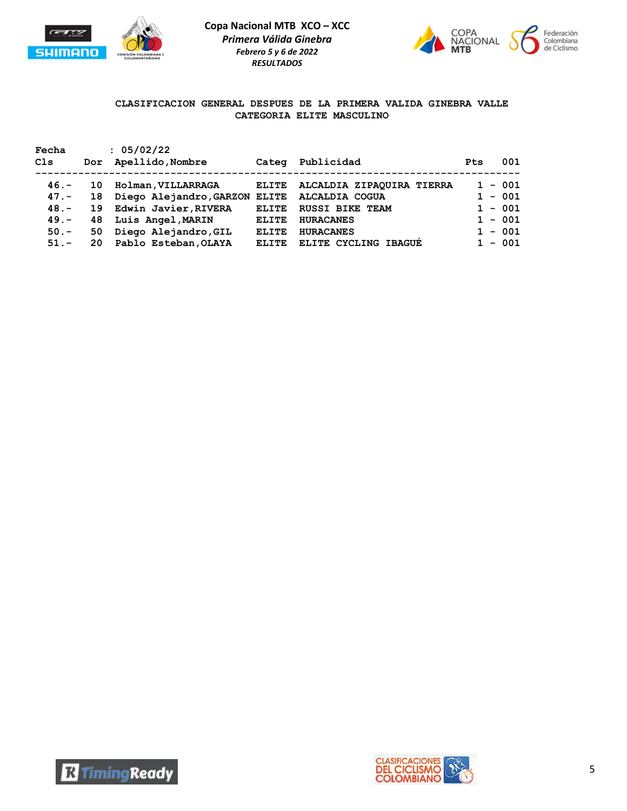



# **CLASIFICACION GENERAL DESPUES DE LA PRIMERA VALIDA GINEBRA VALLE CATEGORIA ELITE MASCULINO**

| Fecha<br>C1s                                        | Dor                        | : 05/02/22<br>Apellido, Nombre                                                                                           | Categ                                                        | Publicidad                                                                                                    | <b>Pts</b>                                                    | 001 |
|-----------------------------------------------------|----------------------------|--------------------------------------------------------------------------------------------------------------------------|--------------------------------------------------------------|---------------------------------------------------------------------------------------------------------------|---------------------------------------------------------------|-----|
| $46. -$<br>$47. -$<br>$48. -$<br>$49. -$<br>$50. -$ | 10<br>18<br>19<br>48<br>50 | Holman, VILLARRAGA<br>Diego Alejandro, GARZON ELITE<br>Edwin Javier, RIVERA<br>Luis Angel, MARIN<br>Diego Alejandro, GIL | <b>ELITE</b><br><b>ELITE</b><br><b>ELITE</b><br><b>ELITE</b> | ALCALDIA ZIPAQUIRA TIERRA<br>ALCALDIA COGUA<br><b>RUSSI BIKE TEAM</b><br><b>HURACANES</b><br><b>HURACANES</b> | $1 - 001$<br>$1 - 001$<br>$1 - 001$<br>$1 - 001$<br>$1 - 001$ |     |
| $51 -$                                              | 20                         | Pablo Esteban, OLAYA                                                                                                     | ELTTE.                                                       | ELITE CYCLING IBAGUE                                                                                          | $1 - 001$                                                     |     |



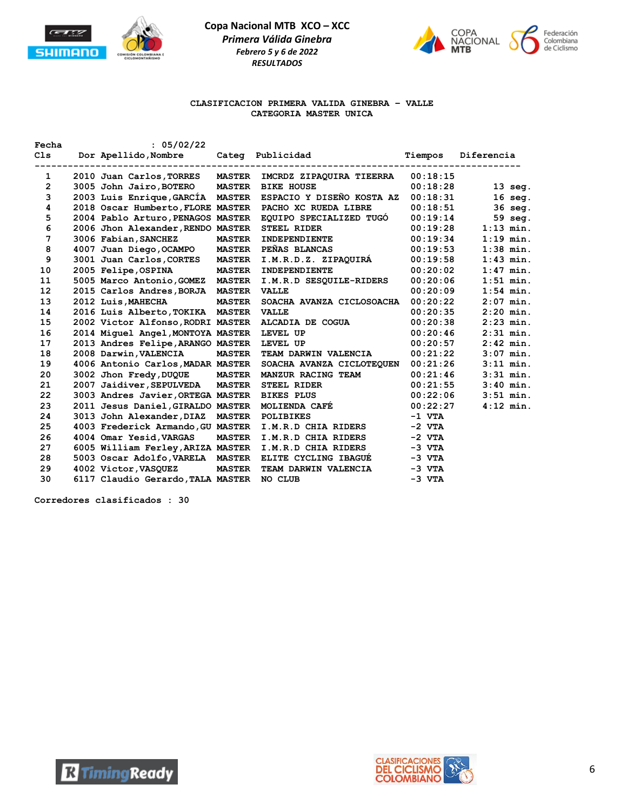



### **CLASIFICACION PRIMERA VALIDA GINEBRA – VALLE CATEGORIA MASTER UNICA**

| Fecha          | : 05/02/22                                    |               |                             |                                 |             |
|----------------|-----------------------------------------------|---------------|-----------------------------|---------------------------------|-------------|
| C1s            | Dor Apellido, Nombre                          |               | Categ Publicidad            | Tiempos                         | Diferencia  |
| 1              | 2010 Juan Carlos, TORRES                      | <b>MASTER</b> | IMCRDZ ZIPAQUIRA TIEERRA    | -------------------<br>00:18:15 |             |
| $\overline{2}$ | 3005 John Jairo, BOTERO                       | <b>MASTER</b> | <b>BIKE HOUSE</b>           | 00:18:28                        | $13$ seg.   |
| 3              | 2003 Luis Enrique, GARCIA                     | <b>MASTER</b> | ESPACIO Y DISEÑO KOSTA AZ   | 00:18:31                        | $16$ seg.   |
| 4              | 2018 Oscar Humberto, FLORE MASTER             |               | PACHO XC RUEDA LIBRE        | 00:18:51                        | 36 seg.     |
| 5              | 2004 Pablo Arturo, PENAGOS MASTER             |               | EQUIPO SPECIALIZED TUGO     | 00:19:14                        | 59 seg.     |
| 6              | 2006 Jhon Alexander, RENDO MASTER STEEL RIDER |               |                             | 00:19:28                        | $1:13$ min. |
| 7              |                                               | <b>MASTER</b> | INDEPENDIENTE               | 00:19:34                        |             |
|                | 3006 Fabian, SANCHEZ                          |               |                             |                                 | $1:19$ min. |
| 8              | 4007 Juan Diego, OCAMPO                       | <b>MASTER</b> | PEÑAS BLANCAS               | 00:19:53                        | $1:38$ min. |
| 9              | 3001 Juan Carlos, CORTES                      | <b>MASTER</b> | I.M.R.D.Z. ZIPAQUIRÁ        | 00:19:58                        | $1:43$ min. |
| 10             | 2005 Felipe, OSPINA                           | <b>MASTER</b> | INDEPENDIENTE               | 00:20:02                        | $1:47$ min. |
| 11             | 5005 Marco Antonio, GOMEZ                     | <b>MASTER</b> | I.M.R.D SESQUILE-RIDERS     | 00:20:06                        | $1:51$ min. |
| 12             | 2015 Carlos Andres, BORJA                     | <b>MASTER</b> | <b>VALLE</b>                | 00:20:09                        | $1:54$ min. |
| 13             | 2012 Luis, MAHECHA                            | <b>MASTER</b> | SOACHA AVANZA CICLOSOACHA   | 00:20:22                        | $2:07$ min. |
| 14             | 2016 Luis Alberto, TOKIKA MASTER              |               | <b>VALLE</b>                | 00:20:35                        | $2:20$ min. |
| 15             | 2002 Victor Alfonso, RODRI MASTER             |               | ALCADIA DE COGUA            | 00:20:38                        | $2:23$ min. |
| 16             | 2014 Miquel Angel, MONTOYA MASTER             |               | LEVEL UP                    | 00:20:46                        | $2:31$ min. |
| 17             | 2013 Andres Felipe, ARANGO MASTER             |               | LEVEL UP                    | 00:20:57                        | $2:42$ min. |
| 18             | 2008 Darwin, VALENCIA                         | <b>MASTER</b> | TEAM DARWIN VALENCIA        | 00:21:22                        | $3:07$ min. |
| 19             | 4006 Antonio Carlos, MADAR MASTER             |               | SOACHA AVANZA CICLOTEQUEN   | 00:21:26                        | $3:11$ min. |
| 20             | 3002 Jhon Fredy, DUQUE                        | <b>MASTER</b> | <b>MANZUR RACING TEAM</b>   | 00:21:46                        | $3:31$ min. |
| 21             | 2007 Jaidiver, SEPULVEDA                      | <b>MASTER</b> | <b>STEEL RIDER</b>          | 00:21:55                        | $3:40$ min. |
| 22             | 3003 Andres Javier, ORTEGA MASTER             |               | <b>BIKES PLUS</b>           | 00:22:06                        | $3:51$ min. |
| 23             | 2011 Jesus Daniel, GIRALDO MASTER             |               | MOLIENDA CAFÉ               | 00:22:27                        | $4:12$ min. |
| 24             | 3013 John Alexander, DIAZ                     | <b>MASTER</b> | <b>POLIBIKES</b>            | -1 VTA                          |             |
| 25             | 4003 Frederick Armando, GU MASTER             |               | I.M.R.D CHIA RIDERS         | $-2$ VTA                        |             |
| 26             | 4004 Omar Yesid, VARGAS                       | <b>MASTER</b> | I.M.R.D CHIA RIDERS         | $-2$ VTA                        |             |
| 27             | 6005 William Ferley, ARIZA MASTER             |               | I.M.R.D CHIA RIDERS         | $-3$ VTA                        |             |
| 28             | 5003 Oscar Adolfo, VARELA MASTER              |               | <b>ELITE CYCLING IBAGUÉ</b> | $-3$ VTA                        |             |
| 29             |                                               | <b>MASTER</b> | TEAM DARWIN VALENCIA        | $-3$ VTA                        |             |
|                | 4002 Victor, VASQUEZ                          |               |                             |                                 |             |
| 30             | 6117 Claudio Gerardo, TALA MASTER             |               | NO CLUB                     | $-3$ VTA                        |             |



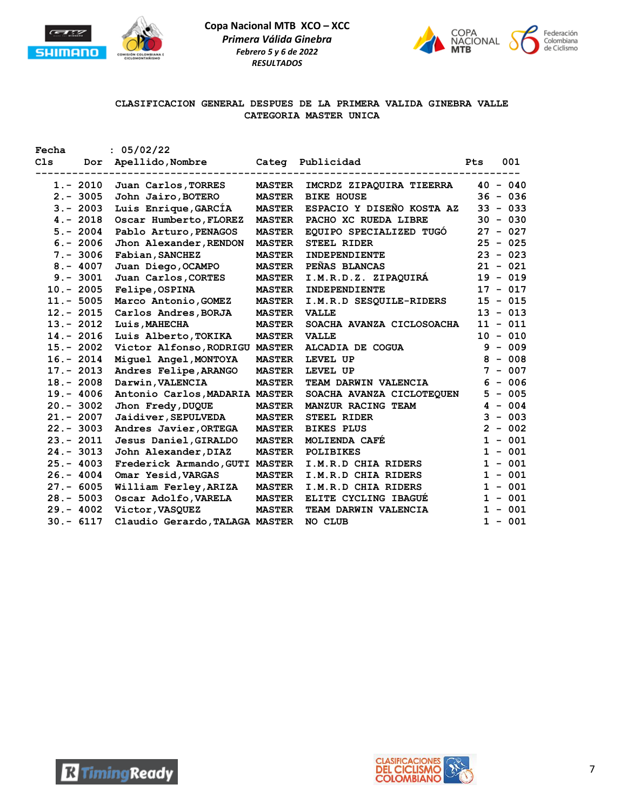



# **CLASIFICACION GENERAL DESPUES DE LA PRIMERA VALIDA GINEBRA VALLE CATEGORIA MASTER UNICA**

| Fecha           |              | : 05/02/22                     |               |                           |            |
|-----------------|--------------|--------------------------------|---------------|---------------------------|------------|
| C <sub>1s</sub> | Dor          | Apellido, Nombre               |               | Categ Publicidad          | 001<br>Pts |
|                 | $1.-2010$    | Juan Carlos, TORRES            | <b>MASTER</b> | IMCRDZ ZIPAQUIRA TIEERRA  | $40 - 040$ |
|                 | $2. - 3005$  | John Jairo, BOTERO             | <b>MASTER</b> | <b>BIKE HOUSE</b>         | $36 - 036$ |
|                 | $3 - 2003$   | Luis Enrique, GARCIA           | <b>MASTER</b> | ESPACIO Y DISEÑO KOSTA AZ | $33 - 033$ |
|                 | $4. - 2018$  | Oscar Humberto, FLOREZ         | <b>MASTER</b> | PACHO XC RUEDA LIBRE      | $30 - 030$ |
|                 | $5. - 2004$  | Pablo Arturo, PENAGOS          | <b>MASTER</b> | EQUIPO SPECIALIZED TUGO   | $27 - 027$ |
|                 | $6. - 2006$  | Jhon Alexander, RENDON         | <b>MASTER</b> | <b>STEEL RIDER</b>        | $25 - 025$ |
|                 | $7. - 3006$  | Fabian, SANCHEZ                | <b>MASTER</b> | <b>INDEPENDIENTE</b>      | $23 - 023$ |
|                 | $8 - 4007$   | Juan Diego, OCAMPO             | <b>MASTER</b> | PEÑAS BLANCAS             | $21 - 021$ |
|                 | $9. - 3001$  | Juan Carlos, CORTES            | <b>MASTER</b> | I.M.R.D.Z. ZIPAQUIRA      | $19 - 019$ |
|                 | $10.-2005$   | Felipe, OSPINA                 | <b>MASTER</b> | INDEPENDIENTE             | $17 - 017$ |
|                 | $11.-5005$   | Marco Antonio, GOMEZ           | <b>MASTER</b> | I.M.R.D SESQUILE-RIDERS   | $15 - 015$ |
|                 | $12 - 2015$  | Carlos Andres, BORJA           | <b>MASTER</b> | <b>VALLE</b>              | $13 - 013$ |
|                 | $13 - 2012$  | Luis, MAHECHA                  | <b>MASTER</b> | SOACHA AVANZA CICLOSOACHA | $11 - 011$ |
|                 | $14. - 2016$ | Luis Alberto, TOKIKA           | <b>MASTER</b> | <b>VALLE</b>              | $10 - 010$ |
|                 | $15. - 2002$ | Victor Alfonso, RODRIGU        | <b>MASTER</b> | ALCADIA DE COGUA          | $9 - 009$  |
|                 | $16. - 2014$ | Miguel Angel, MONTOYA          | <b>MASTER</b> | LEVEL UP                  | $8 - 008$  |
|                 | $17. - 2013$ | Andres Felipe, ARANGO          | <b>MASTER</b> | LEVEL UP                  | $7 - 007$  |
|                 | $18 - 2008$  | Darwin, VALENCIA               | <b>MASTER</b> | TEAM DARWIN VALENCIA      | $6 - 006$  |
|                 | $19. - 4006$ | Antonio Carlos, MADARIA MASTER |               | SOACHA AVANZA CICLOTEQUEN | $5 - 005$  |
|                 | $20. - 3002$ | Jhon Fredy, DUQUE              | <b>MASTER</b> | MANZUR RACING TEAM        | $4 - 004$  |
|                 | $21. - 2007$ | Jaidiver, SEPULVEDA            | <b>MASTER</b> | <b>STEEL RIDER</b>        | $3 - 003$  |
|                 | $22 - 3003$  | Andres Javier, ORTEGA          | <b>MASTER</b> | <b>BIKES PLUS</b>         | $2 - 002$  |
|                 | $23 - 2011$  | Jesus Daniel, GIRALDO          | <b>MASTER</b> | <b>MOLIENDA CAFE</b>      | $1 - 001$  |
|                 | $24 - 3013$  | John Alexander, DIAZ           | <b>MASTER</b> | <b>POLIBIKES</b>          | $1 - 001$  |
|                 | $25. - 4003$ | Frederick Armando, GUTI MASTER |               | I.M.R.D CHIA RIDERS       | $1 - 001$  |
|                 | $26. - 4004$ | Omar Yesid, VARGAS             | <b>MASTER</b> | I.M.R.D CHIA RIDERS       | $1 - 001$  |
|                 | $27. - 6005$ | William Ferley, ARIZA          | <b>MASTER</b> | I.M.R.D CHIA RIDERS       | $1 - 001$  |
|                 | $28 - 5003$  | Oscar Adolfo, VARELA           | <b>MASTER</b> | ELITE CYCLING IBAGUE      | $1 - 001$  |
|                 | $29. - 4002$ | Victor, VASQUEZ                | <b>MASTER</b> | TEAM DARWIN VALENCIA      | $1 - 001$  |
|                 | $30 - 6117$  | Claudio Gerardo, TALAGA MASTER |               | NO CLUB                   | $1 - 001$  |



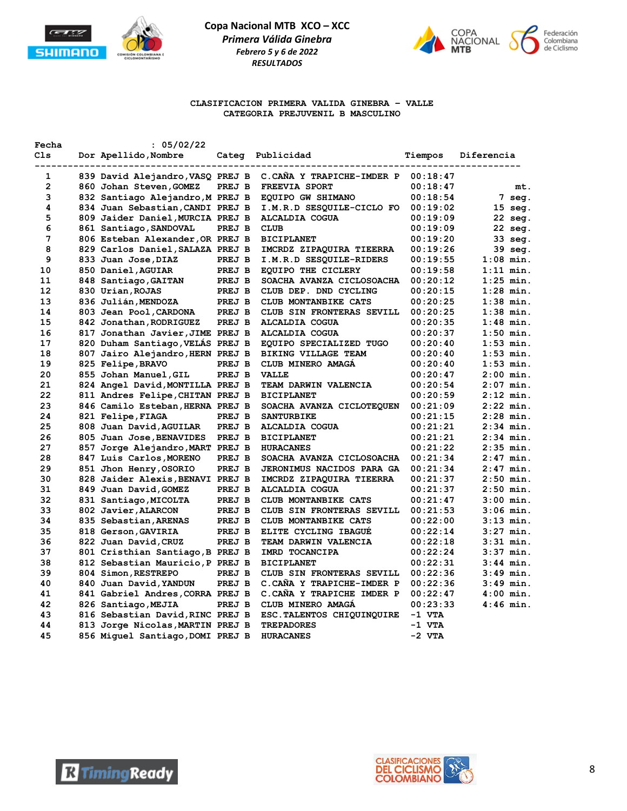



### **CLASIFICACION PRIMERA VALIDA GINEBRA – VALLE CATEGORIA PREJUVENIL B MASCULINO**

| Fecha | : 05/02/22                       |        |                                  |          |             |
|-------|----------------------------------|--------|----------------------------------|----------|-------------|
| Cls   | Dor Apellido, Nombre             | Categ  | Publicidad                       | Tiempos  | Diferencia  |
| 1     | 839 David Alejandro, VASQ PREJ B |        | C.CANA Y TRAPICHE-IMDER P        | 00:18:47 |             |
| 2     | 860 Johan Steven, GOMEZ          | PREJ B | <b>FREEVIA SPORT</b>             | 00:18:47 | mt.         |
| 3     | 832 Santiago Alejandro, M PREJ B |        | EQUIPO GW SHIMANO                | 00:18:54 | 7 seg.      |
| 4     | 834 Juan Sebastian, CANDI PREJ B |        | I.M.R.D SESQUILE-CICLO FO        | 00:19:02 | 15 seg.     |
| 5     | 809 Jaider Daniel, MURCIA PREJ B |        | <b>ALCALDIA COGUA</b>            | 00:19:09 | 22 seg.     |
| 6     | 861 Santiago, SANDOVAL           | PREJ B | <b>CLUB</b>                      | 00:19:09 | 22 seg.     |
| 7     | 806 Esteban Alexander, OR PREJ B |        | <b>BICIPLANET</b>                | 00:19:20 | 33 seg.     |
| 8     | 829 Carlos Daniel, SALAZA PREJ B |        | IMCRDZ ZIPAQUIRA TIEERRA         | 00:19:26 | 39 seg.     |
| 9     | 833 Juan Jose, DIAZ              | PREJ B | I.M.R.D SESQUILE-RIDERS          | 00:19:55 | $1:08$ min. |
| 10    | 850 Daniel, AGUIAR               | PREJ B | EQUIPO THE CICLERY               | 00:19:58 | $1:11$ min. |
| 11    | 848 Santiago, GAITAN             | PREJ B | SOACHA AVANZA CICLOSOACHA        | 00:20:12 | $1:25$ min. |
| 12    | 830 Urian, ROJAS                 | PREJ B | CLUB DEP. DND CYCLING            | 00:20:15 | $1:28$ min. |
| 13    | 836 Julián, MENDOZA              | PREJ B | CLUB MONTANBIKE CATS             | 00:20:25 | $1:38$ min. |
| 14    | 803 Jean Pool, CARDONA           | PREJ B | CLUB SIN FRONTERAS SEVILL        | 00:20:25 | $1:38$ min. |
| 15    | 842 Jonathan, RODRIGUEZ          | PREJ B | <b>ALCALDIA COGUA</b>            | 00:20:35 | $1:48$ min. |
| 16    | 817 Jonathan Javier, JIME PREJ B |        | <b>ALCALDIA COGUA</b>            | 00:20:37 | $1:50$ min. |
| 17    | 820 Duham Santiago, VELAS PREJ B |        | EQUIPO SPECIALIZED TUGO          | 00:20:40 | $1:53$ min. |
| 18    | 807 Jairo Alejandro, HERN PREJ B |        | BIKING VILLAGE TEAM              | 00:20:40 | $1:53$ min. |
| 19    | 825 Felipe, BRAVO                | PREJ B | CLUB MINERO AMAGA                | 00:20:40 | $1:53$ min. |
| 20    | 855 Johan Manuel, GIL            | PREJ B | <b>VALLE</b>                     | 00:20:47 | $2:00$ min. |
| 21    | 824 Angel David, MONTILLA PREJ B |        | TEAM DARWIN VALENCIA             | 00:20:54 | $2:07$ min. |
| 22    | 811 Andres Felipe, CHITAN PREJ B |        | <b>BICIPLANET</b>                | 00:20:59 | $2:12$ min. |
| 23    | 846 Camilo Esteban, HERNA PREJ B |        | SOACHA AVANZA CICLOTEQUEN        | 00:21:09 | $2:22$ min. |
| 24    | 821 Felipe, FIAGA                | PREJ B | <b>SANTURBIKE</b>                | 00:21:15 | $2:28$ min. |
| 25    | 808 Juan David, AGUILAR          | PREJ B | <b>ALCALDIA COGUA</b>            | 00:21:21 | $2:34$ min. |
| 26    | 805 Juan Jose, BENAVIDES         | PREJ B | <b>BICIPLANET</b>                | 00:21:21 | $2:34$ min. |
| 27    | 857 Jorge Alejandro, MART PREJ B |        | <b>HURACANES</b>                 | 00:21:22 | $2:35$ min. |
| 28    | 847 Luis Carlos, MORENO          | PREJ B | SOACHA AVANZA CICLOSOACHA        | 00:21:34 | $2:47$ min. |
| 29    | 851 Jhon Henry, OSORIO           | PREJ B | <b>JERONIMUS NACIDOS PARA GA</b> | 00:21:34 | $2:47$ min. |
| 30    | 828 Jaider Alexis, BENAVI PREJ B |        | IMCRDZ ZIPAQUIRA TIEERRA         | 00:21:37 | $2:50$ min. |
| 31    | 849 Juan David, GOMEZ            | PREJ B | <b>ALCALDIA COGUA</b>            | 00:21:37 | $2:50$ min. |
| 32    | 831 Santiago, MICOLTA            | PREJ B | CLUB MONTANBIKE CATS             | 00:21:47 | $3:00$ min. |
| 33    | 802 Javier, ALARCON              | PREJ B | CLUB SIN FRONTERAS SEVILL        | 00:21:53 | $3:06$ min. |
| 34    | 835 Sebastian, ARENAS            | PREJ B | CLUB MONTANBIKE CATS             | 00:22:00 | $3:13$ min. |
| 35    | 818 Gerson, GAVIRIA              | PREJ B | ELITE CYCLING IBAGUE             | 00:22:14 | $3:27$ min. |
| 36    | 822 Juan David, CRUZ             | PREJ B | TEAM DARWIN VALENCIA             | 00:22:18 | $3:31$ min. |
| 37    | 801 Cristhian Santiago, B PREJ B |        | IMRD TOCANCIPA                   | 00:22:24 | $3:37$ min. |
| 38    | 812 Sebastian Mauricio, P PREJ B |        | <b>BICIPLANET</b>                | 00:22:31 | $3:44$ min. |
| 39    | 804 Simon, RESTREPO              | PREJ B | CLUB SIN FRONTERAS SEVILL        | 00:22:36 | $3:49$ min. |
| 40    | 840 Juan David, YANDUN           | PREJ B | C.CAÑA Y TRAPICHE-IMDER P        | 00:22:36 | $3:49$ min. |
| 41    | 841 Gabriel Andres, CORRA PREJ B |        | C.CANA Y TRAPICHE IMDER P        | 00:22:47 | $4:00$ min. |
| 42    | 826 Santiago, MEJIA              | PREJ B | CLUB MINERO AMAGA                | 00:23:33 | $4:46$ min. |
| 43    | 816 Sebastian David, RINC PREJ B |        | ESC. TALENTOS CHIQUINQUIRE       | $-1$ VTA |             |
| 44    | 813 Jorge Nicolas, MARTIN PREJ B |        | <b>TREPADORES</b>                | -1 VTA   |             |
| 45    | 856 Miquel Santiago, DOMI PREJ B |        | <b>HURACANES</b>                 | $-2$ VTA |             |



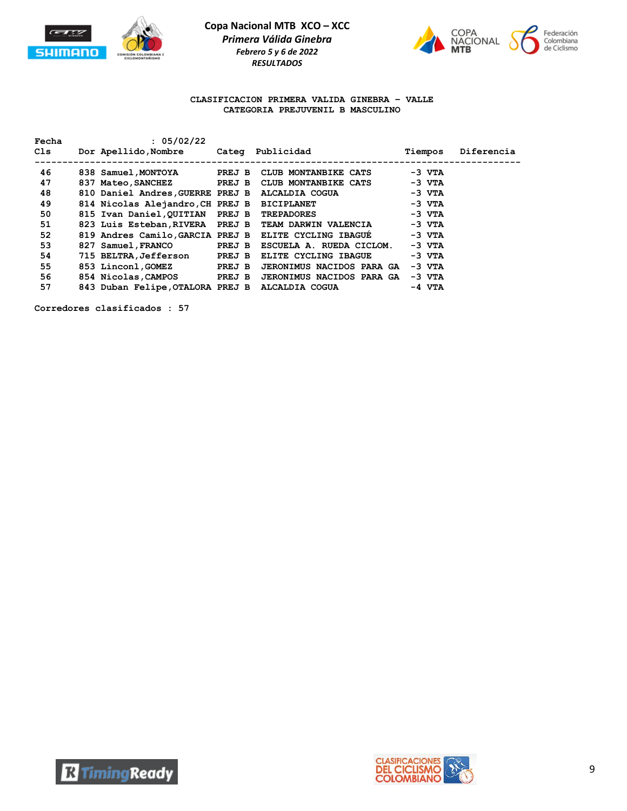



#### **CLASIFICACION PRIMERA VALIDA GINEBRA – VALLE CATEGORIA PREJUVENIL B MASCULINO**

| Fecha<br>Cls | : 05/02/22<br>Dor Apellido, Nombre Cateq Publicidad |        |                                                       | Tiempos  | Diferencia |
|--------------|-----------------------------------------------------|--------|-------------------------------------------------------|----------|------------|
| 46           | 838 Samuel, MONTOYA PREJ B                          |        | CLUB MONTANBIKE CATS                                  | -3 VTA   |            |
| 47           | 837 Mateo, SANCHEZ                                  | PREJ B | CLUB MONTANBIKE CATS                                  | $-3$ VTA |            |
| 48           |                                                     |        | 810 Daniel Andres, GUERRE PREJ B ALCALDIA COGUA       | $-3$ VTA |            |
| 49           | 814 Nicolas Alejandro, CH PREJ B BICIPLANET         |        |                                                       | $-3$ VTA |            |
| 50           | 815 Ivan Daniel, QUITIAN PREJ B                     |        | TREPADORES                                            | $-3$ VTA |            |
| 51           | 823 Luis Esteban, RIVERA PREJ B                     |        | <b>TEAM DARWIN VALENCIA</b>                           | $-3$ VTA |            |
| 52           |                                                     |        | 819 Andres Camilo, GARCIA PREJ B ELITE CYCLING IBAGUE | $-3$ VTA |            |
| 53           | 827 Samuel, FRANCO                                  | PREJ B | ESCUELA A. RUEDA CICLOM.                              | $-3$ VTA |            |
| 54           | 715 BELTRA,Jefferson                                | PREJ B | ELITE CYCLING IBAGUE                                  | $-3$ VTA |            |
| 55           | 853 Linconl, GOMEZ                                  | PREJ B | JERONIMUS NACIDOS PARA GA                             | $-3$ VTA |            |
| 56           | 854 Nicolas, CAMPOS PREJ B                          |        | <b>JERONIMUS NACIDOS PARA GA</b>                      | $-3$ VTA |            |
| 57           | 843 Duban Felipe, OTALORA PREJ B                    |        | ALCALDIA COGUA                                        | $-4$ VTA |            |



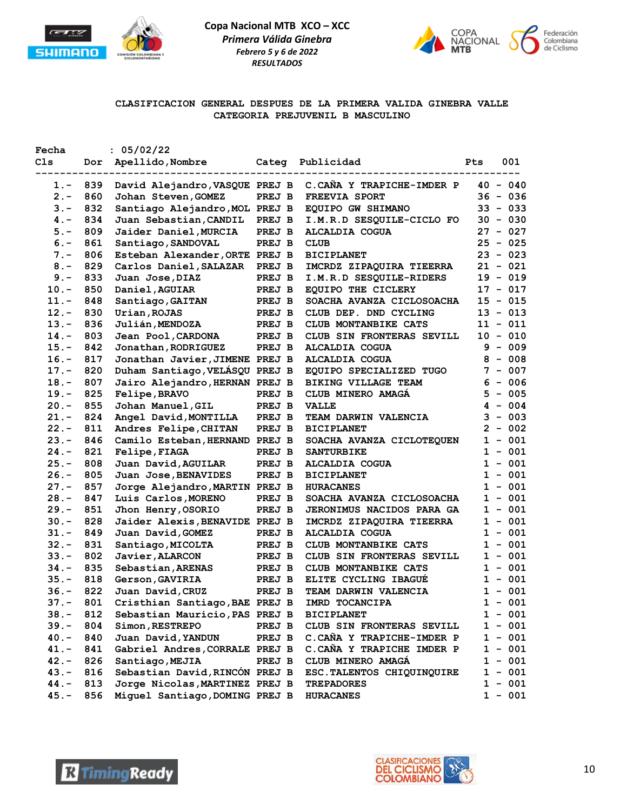



## **CLASIFICACION GENERAL DESPUES DE LA PRIMERA VALIDA GINEBRA VALLE CATEGORIA PREJUVENIL B MASCULINO**

| Fecha   |     | : 05/02/22                          |                          |                                  |                   |
|---------|-----|-------------------------------------|--------------------------|----------------------------------|-------------------|
| Cls     |     | Dor Apellido, Nombre<br>----------- | Categ<br>--------------- | Publicidad                       | 001<br><b>Pts</b> |
| $1. -$  | 839 | David Alejandro, VASQUE PREJ B      |                          | C.CAÑA Y TRAPICHE-IMDER P        | $40 - 040$        |
| $2 -$   | 860 | Johan Steven, GOMEZ                 | PREJ B                   | FREEVIA SPORT                    | $36 - 036$        |
| $3 -$   | 832 | Santiago Alejandro, MOL PREJ B      |                          | EQUIPO GW SHIMANO                | $33 - 033$        |
| $4 -$   | 834 | Juan Sebastian, CANDIL              | PREJ B                   | I.M.R.D SESQUILE-CICLO FO        | $30 - 030$        |
| 5.-     | 809 | Jaider Daniel, MURCIA               | PREJ B                   | ALCALDIA COGUA                   | $27 - 027$        |
| $6. -$  | 861 | Santiago, SANDOVAL                  | PREJ B                   | <b>CLUB</b>                      | $25 - 025$        |
| $7 -$   | 806 | Esteban Alexander, ORTE PREJ B      |                          | <b>BICIPLANET</b>                | $23 - 023$        |
| $8 -$   | 829 | Carlos Daniel, SALAZAR              | PREJ B                   | IMCRDZ ZIPAQUIRA TIEERRA         | $21 - 021$        |
| $9 -$   | 833 | Juan Jose, DIAZ                     | PREJ B                   | I.M.R.D SESQUILE-RIDERS          | $19 - 019$        |
| $10. -$ | 850 | Daniel, AGUIAR                      | PREJ B                   | EQUIPO THE CICLERY               | $17 - 017$        |
| $11. -$ | 848 | Santiago, GAITAN                    | PREJ B                   | SOACHA AVANZA CICLOSOACHA        | 15 - 015          |
| $12 -$  | 830 | Urian, ROJAS                        | PREJ B                   | CLUB DEP. DND CYCLING            | 13 - 013          |
| $13. -$ | 836 | Julián, MENDOZA                     | PREJ B                   | CLUB MONTANBIKE CATS             | $11 - 011$        |
| $14. -$ | 803 | Jean Pool, CARDONA                  | PREJ B                   | CLUB SIN FRONTERAS SEVILL        | $10 - 010$        |
| $15. -$ | 842 | Jonathan, RODRIGUEZ                 | PREJ B                   | <b>ALCALDIA COGUA</b>            | $9 - 009$         |
| $16. -$ | 817 | Jonathan Javier, JIMENE PREJ B      |                          | <b>ALCALDIA COGUA</b>            | $8 - 008$         |
| $17. -$ | 820 | Duham Santiago, VELÁSQU PREJ B      |                          | EQUIPO SPECIALIZED TUGO          | $7 - 007$         |
| $18. -$ | 807 | Jairo Alejandro, HERNAN PREJ B      |                          | BIKING VILLAGE TEAM              | $6 - 006$         |
| $19. -$ | 825 | Felipe, BRAVO                       | PREJ B                   | CLUB MINERO AMAGA                | $5 - 005$         |
| $20. -$ | 855 | Johan Manuel, GIL                   | PREJ B                   | <b>VALLE</b>                     | $4 - 004$         |
| $21. -$ | 824 | Angel David, MONTILLA               | PREJ B                   | TEAM DARWIN VALENCIA             | $3 - 003$         |
| $22 -$  | 811 | Andres Felipe, CHITAN               | PREJ B                   | <b>BICIPLANET</b>                | $2 -$<br>002      |
| $23 -$  | 846 | Camilo Esteban, HERNAND PREJ B      |                          | SOACHA AVANZA CICLOTEQUEN        | $1 - 001$         |
| $24. -$ | 821 | <b>Felipe, FIAGA</b>                | PREJ B                   | <b>SANTURBIKE</b>                | $1 - 001$         |
| $25. -$ | 808 | Juan David, AGUILAR                 | PREJ B                   | ALCALDIA COGUA                   | $1 - 001$         |
| $26. -$ | 805 | Juan Jose, BENAVIDES                | PREJ B                   | <b>BICIPLANET</b>                | $1 - 001$         |
| $27. -$ | 857 | Jorge Alejandro, MARTIN PREJ B      |                          | <b>HURACANES</b>                 | $1 - 001$         |
| $28. -$ | 847 | Luis Carlos, MORENO                 | PREJ B                   | SOACHA AVANZA CICLOSOACHA        | $1 - 001$         |
| $29. -$ | 851 | Jhon Henry, OSORIO                  | PREJ B                   | <b>JERONIMUS NACIDOS PARA GA</b> | $1 - 001$         |
| $30 -$  | 828 | Jaider Alexis, BENAVIDE PREJ B      |                          | IMCRDZ ZIPAQUIRA TIEERRA         | $1 - 001$         |
| $31 -$  | 849 | Juan David, GOMEZ                   | PREJ B                   | <b>ALCALDIA COGUA</b>            | $1 - 001$         |
| $32 -$  | 831 | Santiago, MICOLTA                   | PREJ B                   | CLUB MONTANBIKE CATS             | $1 - 001$         |
| $33 -$  | 802 | Javier, ALARCON                     | PREJ B                   | CLUB SIN FRONTERAS SEVILL        | $1 - 001$         |
| $34. -$ | 835 | Sebastian, ARENAS                   | PREJ B                   | CLUB MONTANBIKE CATS             | $1 - 001$         |
| $35. -$ | 818 | Gerson, GAVIRIA                     | PREJ B                   | ELITE CYCLING IBAGUE             | $1 - 001$         |
| $36. -$ | 822 | Juan David, CRUZ                    | PREJ B                   | TEAM DARWIN VALENCIA             | $1 - 001$         |
| 37.-    | 801 | Cristhian Santiago, BAE PREJ B      |                          | IMRD TOCANCIPA                   | $1 - 001$         |
| $38. -$ | 812 | Sebastian Mauricio, PAS PREJ B      |                          | <b>BICIPLANET</b>                | $1 - 001$         |
| $39. -$ | 804 | Simon, RESTREPO                     | PREJ B                   | CLUB SIN FRONTERAS SEVILL        | $1 - 001$         |
| $40. -$ | 840 | Juan David, YANDUN                  | PREJ B                   | C.CAÑA Y TRAPICHE-IMDER P        | $1 - 001$         |
| $41. -$ | 841 | Gabriel Andres, CORRALE PREJ B      |                          | C.CAÑA Y TRAPICHE IMDER P        | $1 - 001$         |
| $42 -$  | 826 | Santiago, MEJIA                     | PREJ B                   | CLUB MINERO AMAGÁ                | $1 - 001$         |
| $43 -$  | 816 | Sebastian David, RINCÓN PREJ B      |                          | ESC. TALENTOS CHIQUINQUIRE       | $1 - 001$         |
| $44. -$ | 813 | Jorge Nicolas, MARTINEZ PREJ B      |                          | <b>TREPADORES</b>                | $1 - 001$         |
| $45. -$ | 856 | Miguel Santiago, DOMING PREJ B      |                          | <b>HURACANES</b>                 | $1 - 001$         |
|         |     |                                     |                          |                                  |                   |



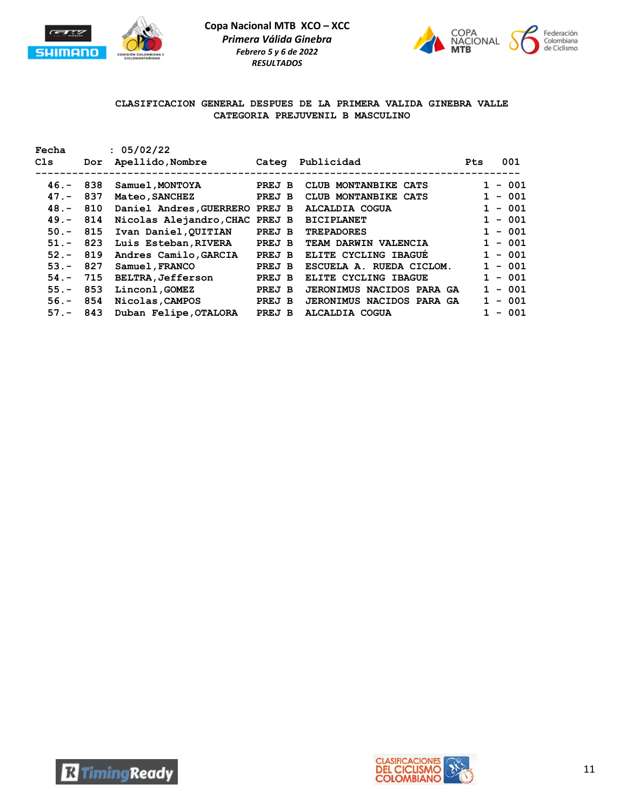



## **CLASIFICACION GENERAL DESPUES DE LA PRIMERA VALIDA GINEBRA VALLE CATEGORIA PREJUVENIL B MASCULINO**

| Fecha       |     | : 05/02/22                     |        |                                  |                   |
|-------------|-----|--------------------------------|--------|----------------------------------|-------------------|
| Cls         | Dor | Apellido,Nombre                | Categ  | Publicidad                       | 001<br><b>Pts</b> |
|             |     |                                |        |                                  |                   |
| $46. - 838$ |     | Samuel,MONTOYA                 | PREJ B | CLUB MONTANBIKE CATS             | $1 - 001$         |
| $47. -$     | 837 | <b>Mateo, SANCHEZ</b>          | PREJ B | CLUB MONTANBIKE CATS             | $1 - 001$         |
| $48. -$     | 810 | Daniel Andres, GUERRERO PREJ B |        | ALCALDIA COGUA                   | $1 - 001$         |
| $49. -$     | 814 | Nicolas Alejandro, CHAC PREJ B |        | <b>BICIPLANET</b>                | $1 - 001$         |
| $50 -$      | 815 | Ivan Daniel, QUITIAN           | PREJ B | <b>TREPADORES</b>                | $1 - 001$         |
| $51 -$      | 823 | Luis Esteban, RIVERA           | PREJ B | TEAM DARWIN VALENCIA             | $1 - 001$         |
| $52 -$      | 819 | Andres Camilo, GARCIA          | PREJ B | ELITE CYCLING IBAGUE             | $1 - 001$         |
| $53 -$      | 827 | Samuel, FRANCO                 | PREJ B | ESCUELA A. RUEDA CICLOM.         | $1 - 001$         |
| $54. -$     | 715 | <b>BELTRA, Jefferson</b>       | PREJ B | ELITE CYCLING IBAGUE             | $1 - 001$         |
| $55. -$     | 853 | Linconl, GOMEZ                 | PREJ B | <b>JERONIMUS NACIDOS PARA GA</b> | $-001$            |
| $56. -$     | 854 | Nicolas, CAMPOS                | PREJ B | JERONIMUS NACIDOS PARA GA        | $-001$            |
| $57 - 843$  |     | Duban Felipe, OTALORA          | PREJ B | ALCALDIA COGUA                   | $-001$            |



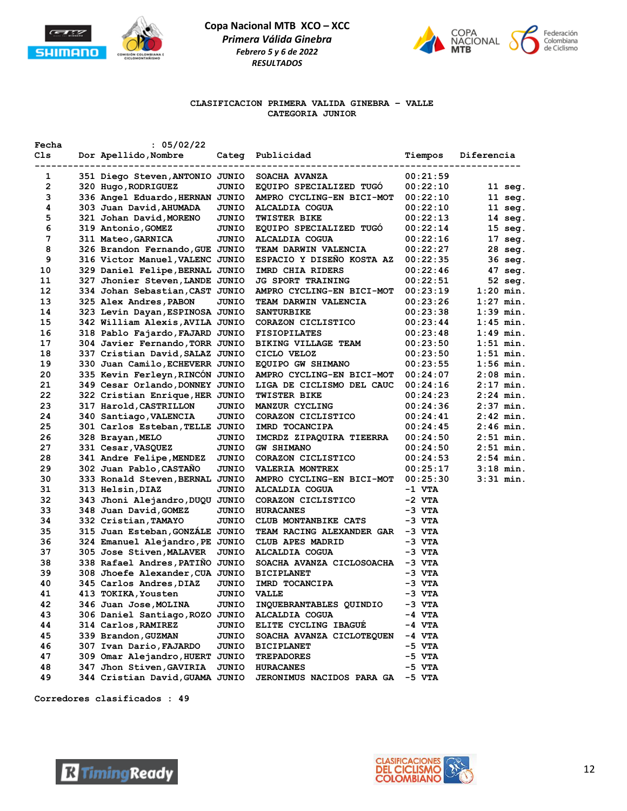



### **CLASIFICACION PRIMERA VALIDA GINEBRA – VALLE CATEGORIA JUNIOR**

| Fecha<br>Cls | : 05/02/22<br>Dor Apellido, Nombre<br>---------------- | Categ<br>---------- | Publicidad                       | Tiempos  | Diferencia        |
|--------------|--------------------------------------------------------|---------------------|----------------------------------|----------|-------------------|
| 1            | 351 Diego Steven, ANTONIO JUNIO                        |                     | SOACHA AVANZA                    | 00:21:59 |                   |
| 2            | 320 Hugo, RODRIGUEZ                                    | JUNIO               | EQUIPO SPECIALIZED TUGO          | 00:22:10 | $11 \text{ seq.}$ |
| з            | 336 Angel Eduardo, HERNAN JUNIO                        |                     | AMPRO CYCLING-EN BICI-MOT        | 00:22:10 | $11 \text{ seq.}$ |
| 4            | 303 Juan David, AHUMADA                                | JUNIO               | ALCALDIA COGUA                   | 00:22:10 | $11 \text{ seq.}$ |
| 5            | 321 Johan David, MORENO                                | JUNIO               | <b>TWISTER BIKE</b>              | 00:22:13 | $14 \text{ seg.}$ |
| 6            | 319 Antonio, GOMEZ                                     | JUNIO               | EQUIPO SPECIALIZED TUGO          | 00:22:14 | $15 \text{ seg.}$ |
| 7            | 311 Mateo, GARNICA                                     | JUNIO               | ALCALDIA COGUA                   | 00:22:16 | $17 \text{ seg.}$ |
| 8            | 326 Brandon Fernando, GUE JUNIO                        |                     | TEAM DARWIN VALENCIA             | 00:22:27 | 28 seg.           |
| 9            | 316 Victor Manuel, VALENC JUNIO                        |                     | ESPACIO Y DISEÑO KOSTA AZ        | 00:22:35 | 36 seg.           |
| 10           | 329 Daniel Felipe, BERNAL JUNIO                        |                     | IMRD CHIA RIDERS                 | 00:22:46 | 47 seg.           |
| 11           | 327 Jhonier Steven, LANDE JUNIO                        |                     | <b>JG SPORT TRAINING</b>         | 00:22:51 | 52 seg.           |
| 12           | 334 Johan Sebastian, CAST JUNIO                        |                     | AMPRO CYCLING-EN BICI-MOT        | 00:23:19 | $1:20$ min.       |
| 13           | 325 Alex Andres, PABON                                 | <b>JUNIO</b>        | <b>TEAM DARWIN VALENCIA</b>      | 00:23:26 | $1:27$ min.       |
| 14           | 323 Levin Dayan, ESPINOSA JUNIO                        |                     | <b>SANTURBIKE</b>                | 00:23:38 | 1:39 min.         |
| 15           | 342 William Alexis, AVILA JUNIO                        |                     | CORAZON CICLISTICO               | 00:23:44 | $1:45$ min.       |
| 16           | 318 Pablo Fajardo, FAJARD JUNIO                        |                     | <b>FISIOPILATES</b>              | 00:23:48 | 1:49 min.         |
| 17           | 304 Javier Fernando, TORR JUNIO                        |                     | BIKING VILLAGE TEAM              | 00:23:50 | $1:51$ min.       |
| 18           | 337 Cristian David, SALAZ JUNIO                        |                     | CICLO VELOZ                      | 00:23:50 | $1:51$ min.       |
| 19           | 330 Juan Camilo, ECHEVERR JUNIO                        |                     | EQUIPO GW SHIMANO                | 00:23:55 | $1:56$ min.       |
| 20           | 335 Kevin Ferleyn, RINCON JUNIO                        |                     | AMPRO CYCLING-EN BICI-MOT        | 00:24:07 | 2:08 min.         |
| 21           | 349 Cesar Orlando, DONNEY JUNIO                        |                     | LIGA DE CICLISMO DEL CAUC        | 00:24:16 | $2:17$ min.       |
| 22           | 322 Cristian Enrique, HER JUNIO                        |                     | <b>TWISTER BIKE</b>              | 00:24:23 | 2:24 min.         |
| 23           | 317 Harold, CASTRILLON                                 | JUNIO               | MANZUR CYCLING                   | 00:24:36 | $2:37$ min.       |
| 24           | 340 Santiago, VALENCIA                                 | JUNIO               | CORAZON CICLISTICO               | 00:24:41 | $2:42$ min.       |
| 25           | 301 Carlos Esteban, TELLE JUNIO                        |                     | IMRD TOCANCIPA                   | 00:24:45 | $2:46$ min.       |
| 26           | 328 Brayan, MELO                                       | JUNIO               | IMCRDZ ZIPAQUIRA TIEERRA         | 00:24:50 | $2:51$ min.       |
| 27           | 331 Cesar, VASQUEZ                                     | JUNIO               | <b>GW SHIMANO</b>                | 00:24:50 | $2:51$ min.       |
| 28           | 341 Andre Felipe, MENDEZ                               | JUNIO               | CORAZON CICLISTICO               | 00:24:53 | $2:54$ min.       |
| 29           | 302 Juan Pablo, CASTAÑO                                | <b>JUNIO</b>        | <b>VALERIA MONTREX</b>           | 00:25:17 | $3:18$ min.       |
| 30           | 333 Ronald Steven, BERNAL JUNIO                        |                     | AMPRO CYCLING-EN BICI-MOT        | 00:25:30 | 3:31 min.         |
| 31           | 313 Helsin, DIAZ                                       | <b>JUNIO</b>        | ALCALDIA COGUA                   | -1 VTA   |                   |
| 32           | 343 Jhoni Alejandro, DUQU JUNIO                        |                     | CORAZON CICLISTICO               | -2 VTA   |                   |
| 33           | 348 Juan David, GOMEZ                                  | <b>JUNIO</b>        | <b>HURACANES</b>                 | -3 VTA   |                   |
| 34           | 332 Cristian, TAMAYO                                   | <b>JUNIO</b>        | CLUB MONTANBIKE CATS             | $-3$ VTA |                   |
| 35           | 315 Juan Esteban, GONZALE JUNIO                        |                     | TEAM RACING ALEXANDER GAR -3 VTA |          |                   |
| 36           | 324 Emanuel Alejandro, PE JUNIO                        |                     | CLUB APES MADRID                 | $-3$ VTA |                   |
| 37           | 305 Jose Stiven, MALAVER                               | JUNIO               | ALCALDIA COGUA                   | $-3$ VTA |                   |
| 38           | 338 Rafael Andres, PATIÑO JUNIO                        |                     | SOACHA AVANZA CICLOSOACHA -3 VTA |          |                   |
| 39           | 308 Jhoefe Alexander, CUA JUNIO                        |                     | <b>BICIPLANET</b>                | $-3$ VTA |                   |
| 40           | 345 Carlos Andres, DIAZ                                | JUNIO               | IMRD TOCANCIPA                   | $-3$ VTA |                   |
| 41           | 413 TOKIKA, Yousten                                    | JUNIO               | <b>VALLE</b>                     | -3 VTA   |                   |
| 42           | 346 Juan Jose, MOLINA                                  | JUNIO               | INQUEBRANTABLES QUINDIO          | -3 VTA   |                   |
| 43           | 306 Daniel Santiago, ROZO JUNIO                        |                     | ALCALDIA COGUA                   | -4 VTA   |                   |
| 44           | 314 Carlos, RAMIREZ                                    | JUNIO               | ELITE CYCLING IBAGUE             | -4 VTA   |                   |
| 45           | 339 Brandon, GUZMAN                                    | <b>JUNIO</b>        | SOACHA AVANZA CICLOTEQUEN        | -4 VTA   |                   |
| 46           | 307 Ivan Dario, FAJARDO                                | JUNIO               | <b>BICIPLANET</b>                | -5 VTA   |                   |
| 47           | 309 Omar Alejandro, HUERT JUNIO                        |                     | <b>TREPADORES</b>                | -5 VTA   |                   |
| 48           | 347 Jhon Stiven, GAVIRIA                               | JUNIO               | <b>HURACANES</b>                 | -5 VTA   |                   |
| 49           | 344 Cristian David, GUAMA JUNIO                        |                     | <b>JERONIMUS NACIDOS PARA GA</b> | -5 VTA   |                   |
|              |                                                        |                     |                                  |          |                   |



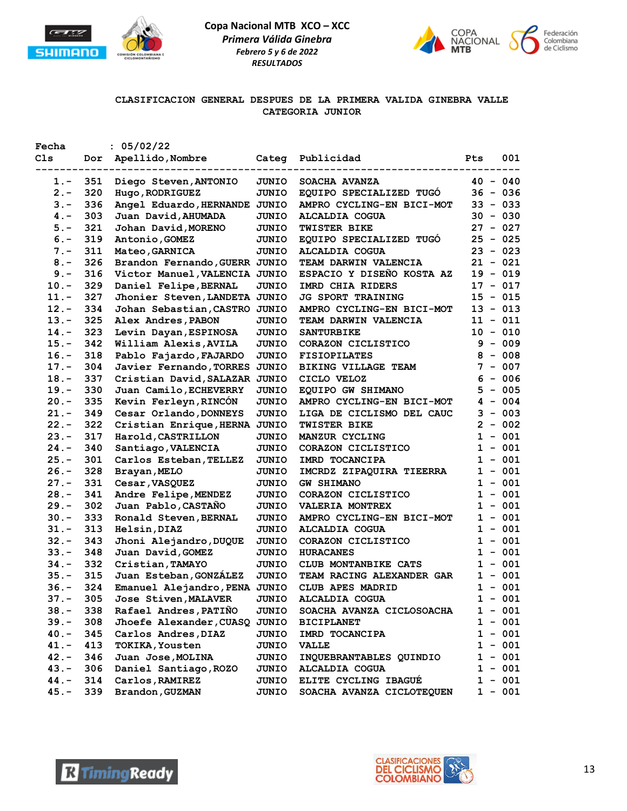



### **CLASIFICACION GENERAL DESPUES DE LA PRIMERA VALIDA GINEBRA VALLE CATEGORIA JUNIOR**

| Fecha   |     | : 05/02/22                    |              |                           |              |           |
|---------|-----|-------------------------------|--------------|---------------------------|--------------|-----------|
| Cls     | Dor | Apellido, Nombre              | Categ        | Publicidad                | Pts          | 001       |
| $1. -$  | 351 | Diego Steven, ANTONIO         | <b>JUNIO</b> | SOACHA AVANZA             | $40 - 040$   |           |
| $2 -$   | 320 | Hugo, RODRIGUEZ               | <b>JUNIO</b> | EQUIPO SPECIALIZED TUGO   | $36 - 036$   |           |
| $3 -$   | 336 | Angel Eduardo, HERNANDE JUNIO |              | AMPRO CYCLING-EN BICI-MOT | $33 - 033$   |           |
| $4 -$   | 303 | Juan David, AHUMADA           | JUNIO        | ALCALDIA COGUA            | $30 - 030$   |           |
| $5. -$  | 321 | Johan David, MORENO           | <b>JUNIO</b> | <b>TWISTER BIKE</b>       | 27 - 027     |           |
| $6. -$  | 319 | Antonio, GOMEZ                | <b>JUNIO</b> | EQUIPO SPECIALIZED TUGO   | $25 - 025$   |           |
| $7. -$  | 311 | Mateo, GARNICA                | <b>JUNIO</b> | <b>ALCALDIA COGUA</b>     | $23 - 023$   |           |
| $8 -$   | 326 | Brandon Fernando, GUERR JUNIO |              | TEAM DARWIN VALENCIA      | $21 - 021$   |           |
| $9 -$   | 316 | Victor Manuel, VALENCIA JUNIO |              | ESPACIO Y DISEÑO KOSTA AZ | $19 - 019$   |           |
| $10. -$ | 329 | Daniel Felipe, BERNAL         | <b>JUNIO</b> | IMRD CHIA RIDERS          | $17 - 017$   |           |
| $11. -$ | 327 | Jhonier Steven, LANDETA JUNIO |              | <b>JG SPORT TRAINING</b>  | $15 - 015$   |           |
| $12. -$ | 334 | Johan Sebastian, CASTRO JUNIO |              | AMPRO CYCLING-EN BICI-MOT | $13 - 013$   |           |
| $13. -$ | 325 | Alex Andres, PABON            | <b>JUNIO</b> | TEAM DARWIN VALENCIA      | $11 - 011$   |           |
| $14. -$ | 323 | Levin Dayan, ESPINOSA         | <b>JUNIO</b> | <b>SANTURBIKE</b>         | $10 - 010$   |           |
| $15. -$ | 342 | William Alexis, AVILA         | <b>JUNIO</b> | CORAZON CICLISTICO        |              | $9 - 009$ |
| $16. -$ | 318 | Pablo Fajardo, FAJARDO        | <b>JUNIO</b> | <b>FISIOPILATES</b>       |              | $8 - 008$ |
| $17. -$ | 304 | Javier Fernando, TORRES JUNIO |              | BIKING VILLAGE TEAM       |              | $7 - 007$ |
| $18. -$ | 337 | Cristian David, SALAZAR JUNIO |              | CICLO VELOZ               |              | $6 - 006$ |
| $19. -$ | 330 | Juan Camilo, ECHEVERRY        | <b>JUNIO</b> | EQUIPO GW SHIMANO         | 5            | $-005$    |
| $20. -$ | 335 | Kevin Ferleyn, RINCÓN         | <b>JUNIO</b> | AMPRO CYCLING-EN BICI-MOT |              | $4 - 004$ |
| $21. -$ | 349 | Cesar Orlando, DONNEYS        | <b>JUNIO</b> | LIGA DE CICLISMO DEL CAUC |              | $3 - 003$ |
| $22 -$  | 322 | Cristian Enrique, HERNA JUNIO |              | <b>TWISTER BIKE</b>       |              | $2 - 002$ |
| $23 -$  | 317 | Harold, CASTRILLON            | <b>JUNIO</b> | MANZUR CYCLING            |              | $1 - 001$ |
| $24. -$ | 340 | Santiago, VALENCIA            | <b>JUNIO</b> | CORAZON CICLISTICO        |              | $1 - 001$ |
| $25. -$ | 301 | Carlos Esteban, TELLEZ        | <b>JUNIO</b> | IMRD TOCANCIPA            | $\mathbf{1}$ | $-001$    |
| $26. -$ | 328 | Brayan, MELO                  | <b>JUNIO</b> | IMCRDZ ZIPAQUIRA TIEERRA  | 1            | $-001$    |
| $27. -$ | 331 | Cesar, VASQUEZ                | <b>JUNIO</b> | <b>GW SHIMANO</b>         |              | $1 - 001$ |
| $28. -$ | 341 | Andre Felipe, MENDEZ          | <b>JUNIO</b> | CORAZON CICLISTICO        |              | $1 - 001$ |
| $29. -$ | 302 | Juan Pablo, CASTAÑO           | <b>JUNIO</b> | <b>VALERIA MONTREX</b>    |              | $1 - 001$ |
| $30 -$  | 333 | Ronald Steven, BERNAL         | <b>JUNIO</b> | AMPRO CYCLING-EN BICI-MOT |              | $1 - 001$ |
| $31 -$  | 313 | Helsin, DIAZ                  | JUNIO        | ALCALDIA COGUA            |              | $1 - 001$ |
| $32 -$  | 343 | Jhoni Alejandro, DUQUE        | <b>JUNIO</b> | CORAZON CICLISTICO        |              | $1 - 001$ |
| $33 -$  | 348 | Juan David, GOMEZ             | <b>JUNIO</b> | <b>HURACANES</b>          |              | $1 - 001$ |
| $34. -$ | 332 | Cristian, TAMAYO              | <b>JUNIO</b> | CLUB MONTANBIKE CATS      |              | $1 - 001$ |
| $35. -$ | 315 | Juan Esteban, GONZALEZ        | <b>JUNIO</b> | TEAM RACING ALEXANDER GAR |              | $1 - 001$ |
| $36. -$ | 324 | Emanuel Alejandro, PENA JUNIO |              | CLUB APES MADRID          |              | $1 - 001$ |
| $37 -$  | 305 | Jose Stiven, MALAVER          | JUNIO        | ALCALDIA COGUA            |              | $1 - 001$ |
| $38. -$ | 338 | Rafael Andres, PATIÑO         | JUNIO        | SOACHA AVANZA CICLOSOACHA |              | $1 - 001$ |
| $39. -$ | 308 | Jhoefe Alexander, CUASQ       | <b>JUNIO</b> | <b>BICIPLANET</b>         |              | $1 - 001$ |
| $40. -$ | 345 | Carlos Andres, DIAZ           | JUNIO        | IMRD TOCANCIPA            |              | $1 - 001$ |
| 41.-    | 413 | <b>TOKIKA, Yousten</b>        | JUNIO        | <b>VALLE</b>              |              | $1 - 001$ |
| $42 -$  | 346 | Juan Jose, MOLINA             | <b>JUNIO</b> | INQUEBRANTABLES QUINDIO   |              | $1 - 001$ |
| $43. -$ | 306 | Daniel Santiago, ROZO         | <b>JUNIO</b> | <b>ALCALDIA COGUA</b>     |              | $1 - 001$ |
| $44. -$ | 314 | Carlos, RAMIREZ               | <b>JUNIO</b> | ELITE CYCLING IBAGUE      | 1            | $-001$    |
| $45. -$ | 339 | Brandon, GUZMAN               | JUNIO        | SOACHA AVANZA CICLOTEQUEN |              | $1 - 001$ |
|         |     |                               |              |                           |              |           |